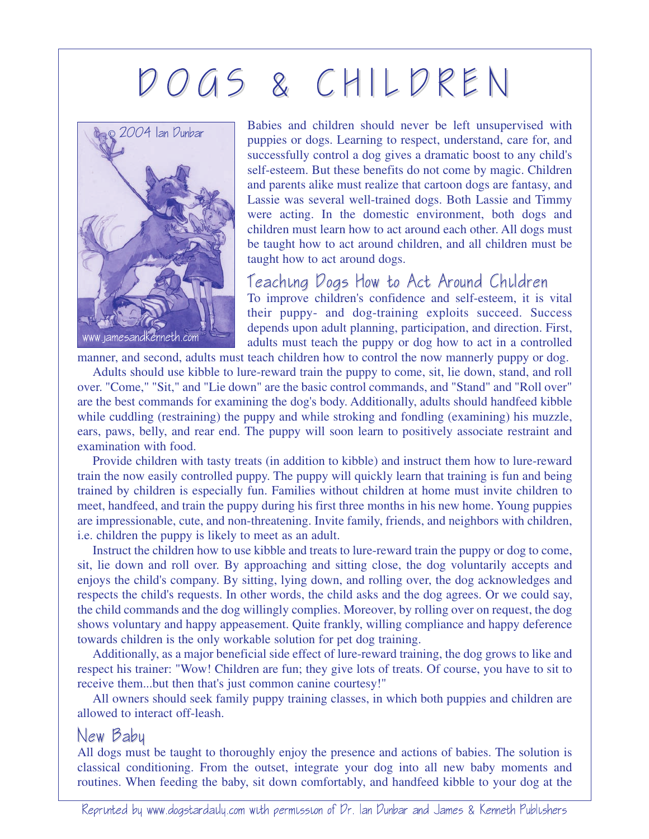## D O G S & C H I L D R E N



Babies and children should never be left unsupervised with puppies or dogs. Learning to respect, understand, care for, and successfully control a dog gives a dramatic boost to any child's self-esteem. But these benefits do not come by magic. Children and parents alike must realize that cartoon dogs are fantasy, and Lassie was several well-trained dogs. Both Lassie and Timmy were acting. In the domestic environment, both dogs and children must learn how to act around each other. All dogs must be taught how to act around children, and all children must be taught how to act around dogs.

## Teaching Dogs How to Act Around Children

To improve children's confidence and self-esteem, it is vital their puppy- and dog-training exploits succeed. Success depends upon adult planning, participation, and direction. First, adults must teach the puppy or dog how to act in a controlled

manner, and second, adults must teach children how to control the now mannerly puppy or dog.

Adults should use kibble to lure-reward train the puppy to come, sit, lie down, stand, and roll over. "Come," "Sit," and "Lie down" are the basic control commands, and "Stand" and "Roll over" are the best commands for examining the dog's body. Additionally, adults should handfeed kibble while cuddling (restraining) the puppy and while stroking and fondling (examining) his muzzle, ears, paws, belly, and rear end. The puppy will soon learn to positively associate restraint and examination with food.

Provide children with tasty treats (in addition to kibble) and instruct them how to lure-reward train the now easily controlled puppy. The puppy will quickly learn that training is fun and being trained by children is especially fun. Families without children at home must invite children to meet, handfeed, and train the puppy during his first three months in his new home. Young puppies are impressionable, cute, and non-threatening. Invite family, friends, and neighbors with children, i.e. children the puppy is likely to meet as an adult.

Instruct the children how to use kibble and treats to lure-reward train the puppy or dog to come, sit, lie down and roll over. By approaching and sitting close, the dog voluntarily accepts and enjoys the child's company. By sitting, lying down, and rolling over, the dog acknowledges and respects the child's requests. In other words, the child asks and the dog agrees. Or we could say, the child commands and the dog willingly complies. Moreover, by rolling over on request, the dog shows voluntary and happy appeasement. Quite frankly, willing compliance and happy deference towards children is the only workable solution for pet dog training.

Additionally, as a major beneficial side effect of lure-reward training, the dog grows to like and respect his trainer: "Wow! Children are fun; they give lots of treats. Of course, you have to sit to receive them...but then that's just common canine courtesy!"

All owners should seek family puppy training classes, in which both puppies and children are allowed to interact off-leash.

## New Baby

All dogs must be taught to thoroughly enjoy the presence and actions of babies. The solution is classical conditioning. From the outset, integrate your dog into all new baby moments and routines. When feeding the baby, sit down comfortably, and handfeed kibble to your dog at the